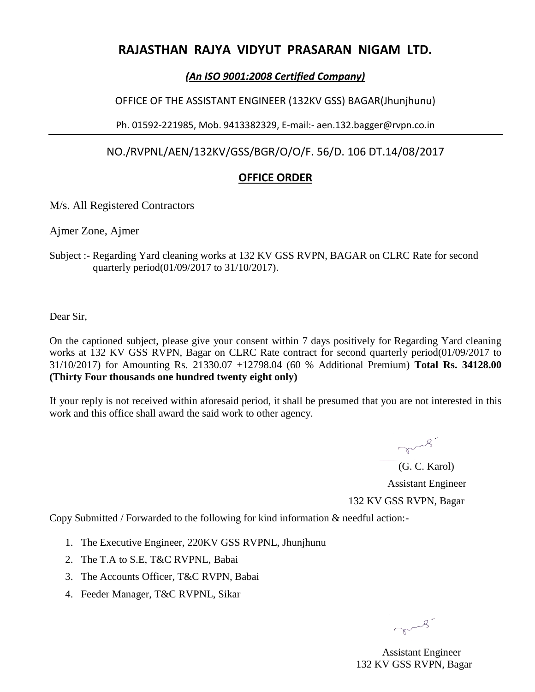# **RAJASTHAN RAJYA VIDYUT PRASARAN NIGAM LTD.**

### *(An ISO 9001:2008 Certified Company)*

OFFICE OF THE ASSISTANT ENGINEER (132KV GSS) BAGAR(Jhunjhunu)

Ph. 01592-221985, Mob. 9413382329, E-mail:- aen.132.bagger@rvpn.co.in

NO./RVPNL/AEN/132KV/GSS/BGR/O/O/F. 56/D. 106 DT.14/08/2017

## **OFFICE ORDER**

#### M/s. All Registered Contractors

Ajmer Zone, Ajmer

Subject :- Regarding Yard cleaning works at 132 KV GSS RVPN, BAGAR on CLRC Rate for second quarterly period(01/09/2017 to 31/10/2017).

Dear Sir,

On the captioned subject, please give your consent within 7 days positively for Regarding Yard cleaning works at 132 KV GSS RVPN, Bagar on CLRC Rate contract for second quarterly period(01/09/2017 to 31/10/2017) for Amounting Rs. 21330.07 +12798.04 (60 % Additional Premium) **Total Rs. 34128.00 (Thirty Four thousands one hundred twenty eight only)**

If your reply is not received within aforesaid period, it shall be presumed that you are not interested in this work and this office shall award the said work to other agency.

> mus? (G. C. Karol) Assistant Engineer 132 KV GSS RVPN, Bagar

Copy Submitted / Forwarded to the following for kind information & needful action:-

- 1. The Executive Engineer, 220KV GSS RVPNL, Jhunjhunu
- 2. The T.A to S.E, T&C RVPNL, Babai
- 3. The Accounts Officer, T&C RVPN, Babai
- 4. Feeder Manager, T&C RVPNL, Sikar

mus.

 Assistant Engineer 132 KV GSS RVPN, Bagar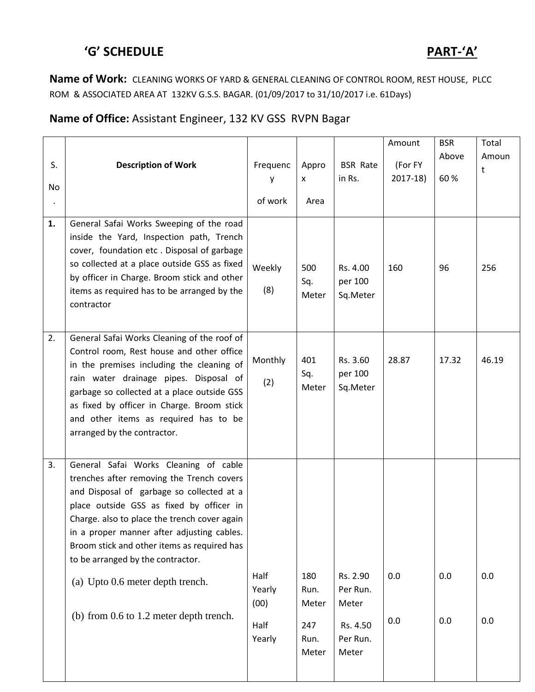# **'G' SCHEDULE PART-'A'**

**Name of Work:** CLEANING WORKS OF YARD & GENERAL CLEANING OF CONTROL ROOM, REST HOUSE, PLCC ROM & ASSOCIATED AREA AT 132KV G.S.S. BAGAR. (01/09/2017 to 31/10/2017 i.e. 61Days)

# **Name of Office:** Assistant Engineer, 132 KV GSS RVPN Bagar

|          |                                                                                                                                                                                                                                                                                                                                                               |                        |                               |                                 | Amount               | <b>BSR</b>   | Total      |
|----------|---------------------------------------------------------------------------------------------------------------------------------------------------------------------------------------------------------------------------------------------------------------------------------------------------------------------------------------------------------------|------------------------|-------------------------------|---------------------------------|----------------------|--------------|------------|
| S.<br>No | <b>Description of Work</b>                                                                                                                                                                                                                                                                                                                                    | Frequenc<br>of work    | Appro<br>$\mathsf{x}$<br>Area | <b>BSR Rate</b><br>in Rs.       | (For FY<br>$2017-18$ | Above<br>60% | Amoun<br>t |
| 1.       | General Safai Works Sweeping of the road<br>inside the Yard, Inspection path, Trench<br>cover, foundation etc. Disposal of garbage<br>so collected at a place outside GSS as fixed<br>by officer in Charge. Broom stick and other<br>items as required has to be arranged by the<br>contractor                                                                | Weekly<br>(8)          | 500<br>Sq.<br>Meter           | Rs. 4.00<br>per 100<br>Sq.Meter | 160                  | 96           | 256        |
| 2.       | General Safai Works Cleaning of the roof of<br>Control room, Rest house and other office<br>in the premises including the cleaning of<br>rain water drainage pipes. Disposal of<br>garbage so collected at a place outside GSS<br>as fixed by officer in Charge. Broom stick<br>and other items as required has to be<br>arranged by the contractor.          | Monthly<br>(2)         | 401<br>Sq.<br>Meter           | Rs. 3.60<br>per 100<br>Sq.Meter | 28.87                | 17.32        | 46.19      |
| 3.       | General Safai Works Cleaning of cable<br>trenches after removing the Trench covers<br>and Disposal of garbage so collected at a<br>place outside GSS as fixed by officer in<br>Charge. also to place the trench cover again<br>in a proper manner after adjusting cables.<br>Broom stick and other items as required has<br>to be arranged by the contractor. |                        |                               |                                 |                      |              |            |
|          | (a) Upto 0.6 meter depth trench.                                                                                                                                                                                                                                                                                                                              | Half<br>Yearly<br>(00) | 180<br>Run.<br>Meter          | Rs. 2.90<br>Per Run.<br>Meter   | 0.0                  | 0.0          | 0.0        |
|          | (b) from 0.6 to 1.2 meter depth trench.                                                                                                                                                                                                                                                                                                                       | Half<br>Yearly         | 247<br>Run.<br>Meter          | Rs. 4.50<br>Per Run.<br>Meter   | 0.0                  | 0.0          | 0.0        |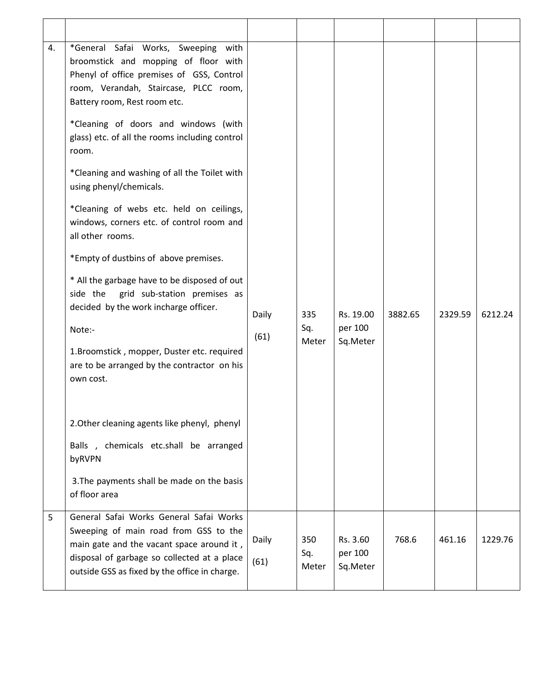| 4. | *General Safai Works, Sweeping with<br>broomstick and mopping of floor with<br>Phenyl of office premises of GSS, Control<br>room, Verandah, Staircase, PLCC room,<br>Battery room, Rest room etc.<br>*Cleaning of doors and windows (with<br>glass) etc. of all the rooms including control<br>room.<br>*Cleaning and washing of all the Toilet with<br>using phenyl/chemicals.<br>*Cleaning of webs etc. held on ceilings,<br>windows, corners etc. of control room and<br>all other rooms.<br>*Empty of dustbins of above premises.<br>* All the garbage have to be disposed of out<br>grid sub-station premises as<br>side the<br>decided by the work incharge officer. | Daily         | 335                 | Rs. 19.00                       | 3882.65 | 2329.59 | 6212.24 |
|----|----------------------------------------------------------------------------------------------------------------------------------------------------------------------------------------------------------------------------------------------------------------------------------------------------------------------------------------------------------------------------------------------------------------------------------------------------------------------------------------------------------------------------------------------------------------------------------------------------------------------------------------------------------------------------|---------------|---------------------|---------------------------------|---------|---------|---------|
|    | Note:-<br>1. Broomstick, mopper, Duster etc. required<br>are to be arranged by the contractor on his<br>own cost.                                                                                                                                                                                                                                                                                                                                                                                                                                                                                                                                                          | (61)          | Sq.<br>Meter        | per 100<br>Sq.Meter             |         |         |         |
|    | 2. Other cleaning agents like phenyl, phenyl<br>Balls, chemicals etc.shall be arranged<br>byRVPN<br>3. The payments shall be made on the basis<br>of floor area                                                                                                                                                                                                                                                                                                                                                                                                                                                                                                            |               |                     |                                 |         |         |         |
| 5  | General Safai Works General Safai Works<br>Sweeping of main road from GSS to the<br>main gate and the vacant space around it,<br>disposal of garbage so collected at a place<br>outside GSS as fixed by the office in charge.                                                                                                                                                                                                                                                                                                                                                                                                                                              | Daily<br>(61) | 350<br>Sq.<br>Meter | Rs. 3.60<br>per 100<br>Sq.Meter | 768.6   | 461.16  | 1229.76 |